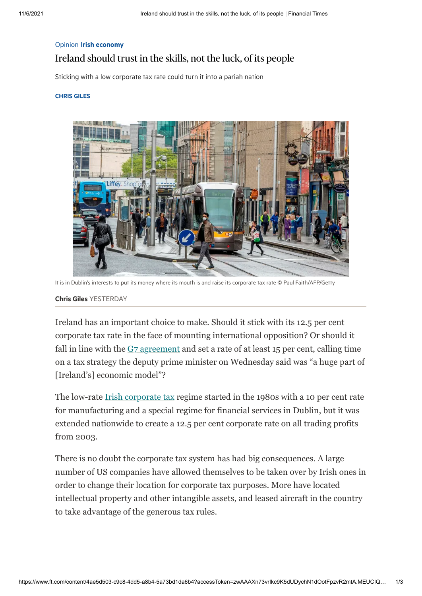## Opinion Irish [economy](https://www.ft.com/stream/efe99c87-4e8a-4263-ac7d-5dcec3845e6d) Ireland should trust in the skills, not the luck, of its people

Sticking with a low corporate tax rate could turn it into a pariah nation

## [CHRIS](https://www.ft.com/chris-giles) GILES



It is in Dublin's interests to put its money where its mouth is and raise its corporate tax rate © Paul Faith/AFP/Getty

## [Chris](https://www.ft.com/chris-giles) Giles YESTERDAY

Ireland has an important choice to make. Should it stick with its 12.5 per cent corporate tax rate in the face of mounting international opposition? Or should it fall in line with the  $G<sub>7</sub>$  agreement and set a rate of at least 15 per cent, calling time on a tax strategy the deputy prime minister on Wednesday said was "a huge part of [Ireland's] economic model"?

The low-rate [Irish corporate tax](https://www.ft.com/content/f13ab006-8714-4bbc-bc34-3f953a4f2590) regime started in the 1980s with a 10 per cent rate for manufacturing and a special regime for financial services in Dublin, but it was extended nationwide to create a 12.5 per cent corporate rate on all trading profits from 2003.

There is no doubt the corporate tax system has had big consequences. A large number of US companies have allowed themselves to be taken over by Irish ones in order to change their location for corporate tax purposes. More have located intellectual property and other intangible assets, and leased aircraft in the country to take advantage of the generous tax rules.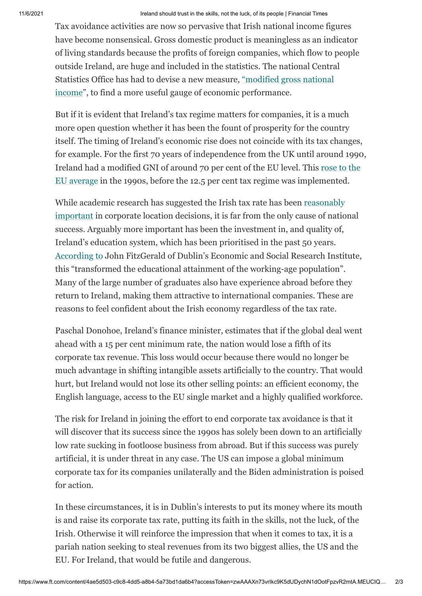## 11/6/2021 Ireland should trust in the skills, not the luck, of its people | Financial Times

Tax avoidance activities are now so pervasive that Irish national income figures have become nonsensical. Gross domestic product is meaningless as an indicator of living standards because the profits of foreign companies, which flow to people outside Ireland, are huge and included in the statistics. The national Central [Statistics Office has had to devise a new measure, "modified gross national](https://www.cso.ie/en/releasesandpublications/in/nie/in-mgnicp/) income", to find a more useful gauge of economic performance.

But if it is evident that Ireland's tax regime matters for companies, it is a much more open question whether it has been the fount of prosperity for the country itself. The timing of Ireland's economic rise does not coincide with its tax changes, for example. For the first 70 years of independence from the UK until around 1990, [Ireland had a modified GNI of around 70 per cent of the EU level. This rose to the](https://www.tcd.ie/Economics/TEP/2019/tep0619.pdf) EU average in the 1990s, before the 12.5 per cent tax regime was implemented.

[While academic research has suggested the Irish tax rate has been reasonably](https://www.esri.ie/system/files/media/file-uploads/2016-06/QEC2016SUM_SA_Siedschlag.pdf) important in corporate location decisions, it is far from the only cause of national success. Arguably more important has been the investment in, and quality of, Ireland's education system, which has been prioritised in the past 50 years. [According to](https://www.tcd.ie/Economics/TEP/2019/tep0619.pdf) John FitzGerald of Dublin's Economic and Social Research Institute, this "transformed the educational attainment of the working-age population". Many of the large number of graduates also have experience abroad before they return to Ireland, making them attractive to international companies. These are reasons to feel confident about the Irish economy regardless of the tax rate.

Paschal Donohoe, Ireland's finance minister, estimates that if the global deal went ahead with a 15 per cent minimum rate, the nation would lose a fifth of its corporate tax revenue. This loss would occur because there would no longer be much advantage in shifting intangible assets artificially to the country. That would hurt, but Ireland would not lose its other selling points: an efficient economy, the English language, access to the EU single market and a highly qualified workforce.

The risk for Ireland in joining the effort to end corporate tax avoidance is that it will discover that its success since the 1990s has solely been down to an artificially low rate sucking in footloose business from abroad. But if this success was purely artificial, it is under threat in any case. The US can impose a global minimum corporate tax for its companies unilaterally and the Biden administration is poised for action.

In these circumstances, it is in Dublin's interests to put its money where its mouth is and raise its corporate tax rate, putting its faith in the skills, not the luck, of the Irish. Otherwise it will reinforce the impression that when it comes to tax, it is a pariah nation seeking to steal revenues from its two biggest allies, the US and the EU. For Ireland, that would be futile and dangerous.